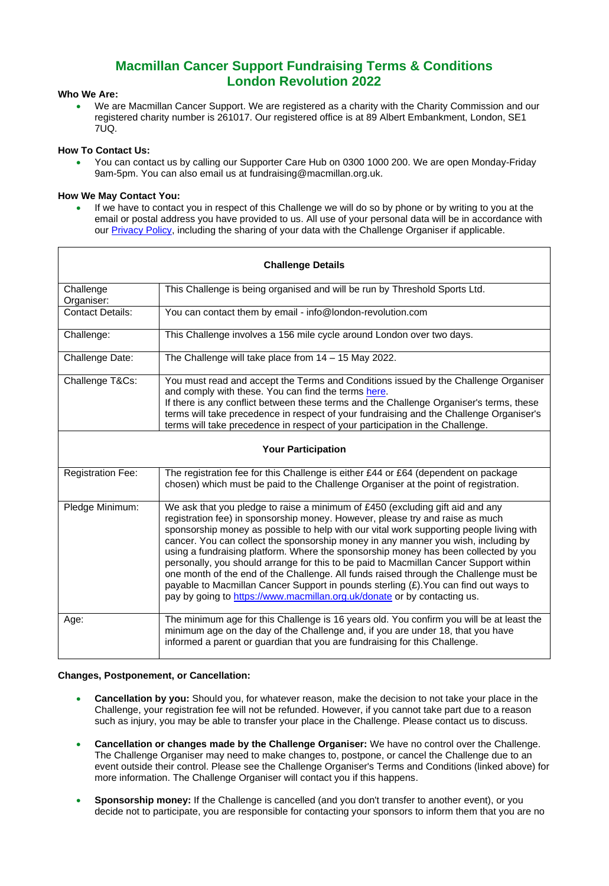# **Macmillan Cancer Support Fundraising Terms & Conditions London Revolution 2022**

# **Who We Are:**

• We are Macmillan Cancer Support. We are registered as a charity with the Charity Commission and our registered charity number is 261017. Our registered office is at 89 Albert Embankment, London, SE1 7UQ.

# **How To Contact Us:**

• You can contact us by calling our Supporter Care Hub on 0300 1000 200. We are open Monday-Friday 9am-5pm. You can also email us at fundraising@macmillan.org.uk.

# **How We May Contact You:**

If we have to contact you in respect of this Challenge we will do so by phone or by writing to you at the email or postal address you have provided to us. All use of your personal data will be in accordance with our [Privacy Policy,](https://www.macmillan.org.uk/terms-and-conditions/privacy-policy.html#345244) including the sharing of your data with the Challenge Organiser if applicable.

| <b>Challenge Details</b>  |                                                                                                                                                                                                                                                                                                                                                                                                                                                                                                                                                                                                                                                                                                                                                                                              |
|---------------------------|----------------------------------------------------------------------------------------------------------------------------------------------------------------------------------------------------------------------------------------------------------------------------------------------------------------------------------------------------------------------------------------------------------------------------------------------------------------------------------------------------------------------------------------------------------------------------------------------------------------------------------------------------------------------------------------------------------------------------------------------------------------------------------------------|
| Challenge<br>Organiser:   | This Challenge is being organised and will be run by Threshold Sports Ltd.                                                                                                                                                                                                                                                                                                                                                                                                                                                                                                                                                                                                                                                                                                                   |
| <b>Contact Details:</b>   | You can contact them by email - info@london-revolution.com                                                                                                                                                                                                                                                                                                                                                                                                                                                                                                                                                                                                                                                                                                                                   |
| Challenge:                | This Challenge involves a 156 mile cycle around London over two days.                                                                                                                                                                                                                                                                                                                                                                                                                                                                                                                                                                                                                                                                                                                        |
| Challenge Date:           | The Challenge will take place from $14 - 15$ May 2022.                                                                                                                                                                                                                                                                                                                                                                                                                                                                                                                                                                                                                                                                                                                                       |
| Challenge T&Cs:           | You must read and accept the Terms and Conditions issued by the Challenge Organiser<br>and comply with these. You can find the terms here.<br>If there is any conflict between these terms and the Challenge Organiser's terms, these<br>terms will take precedence in respect of your fundraising and the Challenge Organiser's<br>terms will take precedence in respect of your participation in the Challenge.                                                                                                                                                                                                                                                                                                                                                                            |
| <b>Your Participation</b> |                                                                                                                                                                                                                                                                                                                                                                                                                                                                                                                                                                                                                                                                                                                                                                                              |
| <b>Registration Fee:</b>  | The registration fee for this Challenge is either £44 or £64 (dependent on package<br>chosen) which must be paid to the Challenge Organiser at the point of registration.                                                                                                                                                                                                                                                                                                                                                                                                                                                                                                                                                                                                                    |
| Pledge Minimum:           | We ask that you pledge to raise a minimum of £450 (excluding gift aid and any<br>registration fee) in sponsorship money. However, please try and raise as much<br>sponsorship money as possible to help with our vital work supporting people living with<br>cancer. You can collect the sponsorship money in any manner you wish, including by<br>using a fundraising platform. Where the sponsorship money has been collected by you<br>personally, you should arrange for this to be paid to Macmillan Cancer Support within<br>one month of the end of the Challenge. All funds raised through the Challenge must be<br>payable to Macmillan Cancer Support in pounds sterling (£). You can find out ways to<br>pay by going to https://www.macmillan.org.uk/donate or by contacting us. |
| Age:                      | The minimum age for this Challenge is 16 years old. You confirm you will be at least the<br>minimum age on the day of the Challenge and, if you are under 18, that you have<br>informed a parent or guardian that you are fundraising for this Challenge.                                                                                                                                                                                                                                                                                                                                                                                                                                                                                                                                    |

### **Changes, Postponement, or Cancellation:**

- **Cancellation by you:** Should you, for whatever reason, make the decision to not take your place in the Challenge, your registration fee will not be refunded. However, if you cannot take part due to a reason such as injury, you may be able to transfer your place in the Challenge. Please contact us to discuss.
- **Cancellation or changes made by the Challenge Organiser:** We have no control over the Challenge. The Challenge Organiser may need to make changes to, postpone, or cancel the Challenge due to an event outside their control. Please see the Challenge Organiser's Terms and Conditions (linked above) for more information. The Challenge Organiser will contact you if this happens.
- **Sponsorship money:** If the Challenge is cancelled (and you don't transfer to another event), or you decide not to participate, you are responsible for contacting your sponsors to inform them that you are no